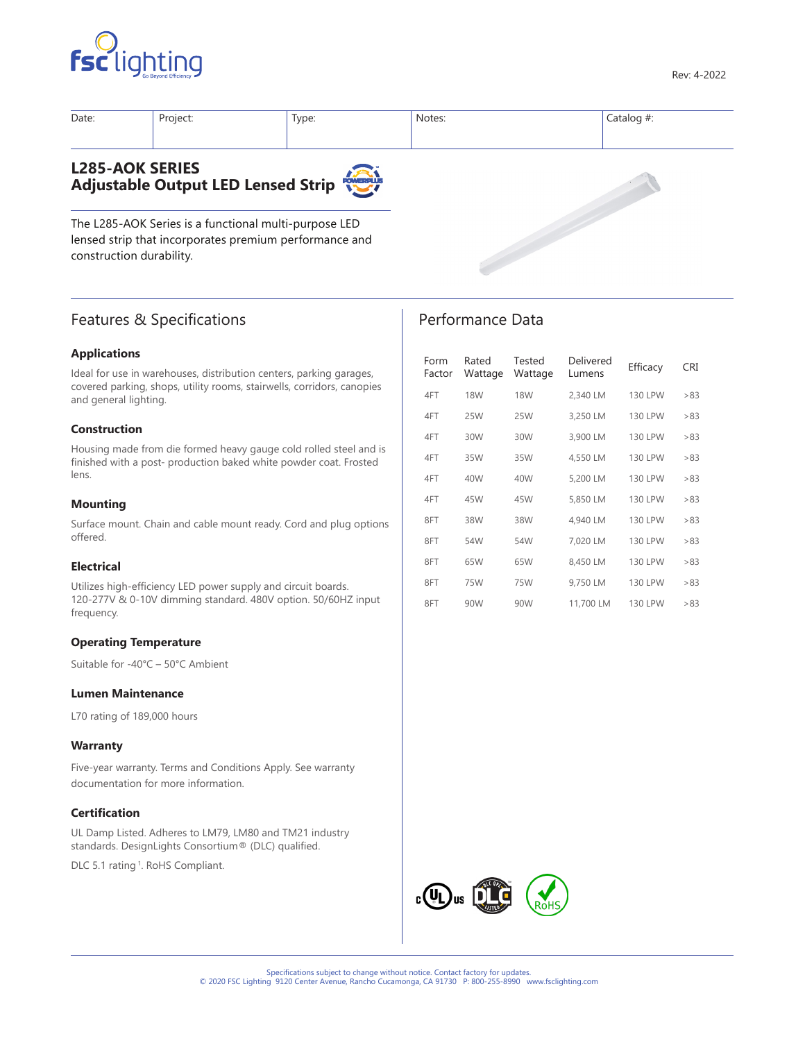



| Date:                                                        | Project: | Type: | Notes: | Catalog $#$ : |  |
|--------------------------------------------------------------|----------|-------|--------|---------------|--|
| <b>L285-AOK SERIES</b><br>Adjustable Output LED Lensed Strip |          |       |        |               |  |

The L285-AOK Series is a functional multi-purpose LED lensed strip that incorporates premium performance and construction durability.

# Features & Specifications

### **Applications**

Ideal for use in warehouses, distribution centers, parking garages, covered parking, shops, utility rooms, stairwells, corridors, canopies and general lighting.

#### **Construction**

Housing made from die formed heavy gauge cold rolled steel and is finished with a post- production baked white powder coat. Frosted lens.

#### **Mounting**

Surface mount. Chain and cable mount ready. Cord and plug options offered.

#### **Electrical**

Utilizes high-efficiency LED power supply and circuit boards. 120-277V & 0-10V dimming standard. 480V option. 50/60HZ input frequency.

#### **Operating Temperature**

Suitable for -40°C – 50°C Ambient

#### **Lumen Maintenance**

L70 rating of 189,000 hours

#### **Warranty**

Five-year warranty. Terms and Conditions Apply. See warranty documentation for more information.

#### **Certification**

UL Damp Listed. Adheres to LM79, LM80 and TM21 industry standards. DesignLights Consortium® (DLC) qualified.

DLC 5.1 rating<sup>1</sup>. RoHS Compliant.

# Performance Data

| Form<br>Factor | Rated<br>Wattage | Tested<br>Wattage | Delivered<br>Lumens | Efficacy       | CRI |
|----------------|------------------|-------------------|---------------------|----------------|-----|
| 4FT            | <b>18W</b>       | <b>18W</b>        | 2,340 LM            | <b>130 LPW</b> | >83 |
| 4FT            | 25W              | 25W               | 3,250 LM            | <b>130 LPW</b> | >83 |
| 4FT            | 30W              | 30W               | 3,900 LM            | <b>130 LPW</b> | >83 |
| 4FT            | 35W              | 35W               | 4,550 LM            | <b>130 LPW</b> | >83 |
| 4FT            | 40W              | 40W               | 5.200 LM            | <b>130 LPW</b> | >83 |
| 4FT            | 45W              | 45W               | 5,850 LM            | <b>130 LPW</b> | >83 |
| 8FT            | 38W              | 38W               | 4,940 LM            | <b>130 LPW</b> | >83 |
| 8FT            | 54W              | 54W               | 7.020 LM            | <b>130 LPW</b> | >83 |
| 8FT            | 65W              | 65W               | 8,450 LM            | <b>130 LPW</b> | >83 |
| 8FT            | 75W              | 75W               | 9,750 LM            | <b>130 LPW</b> | >83 |
| 8FT            | 90W              | 90W               | 11,700 LM           | <b>130 LPW</b> | >83 |

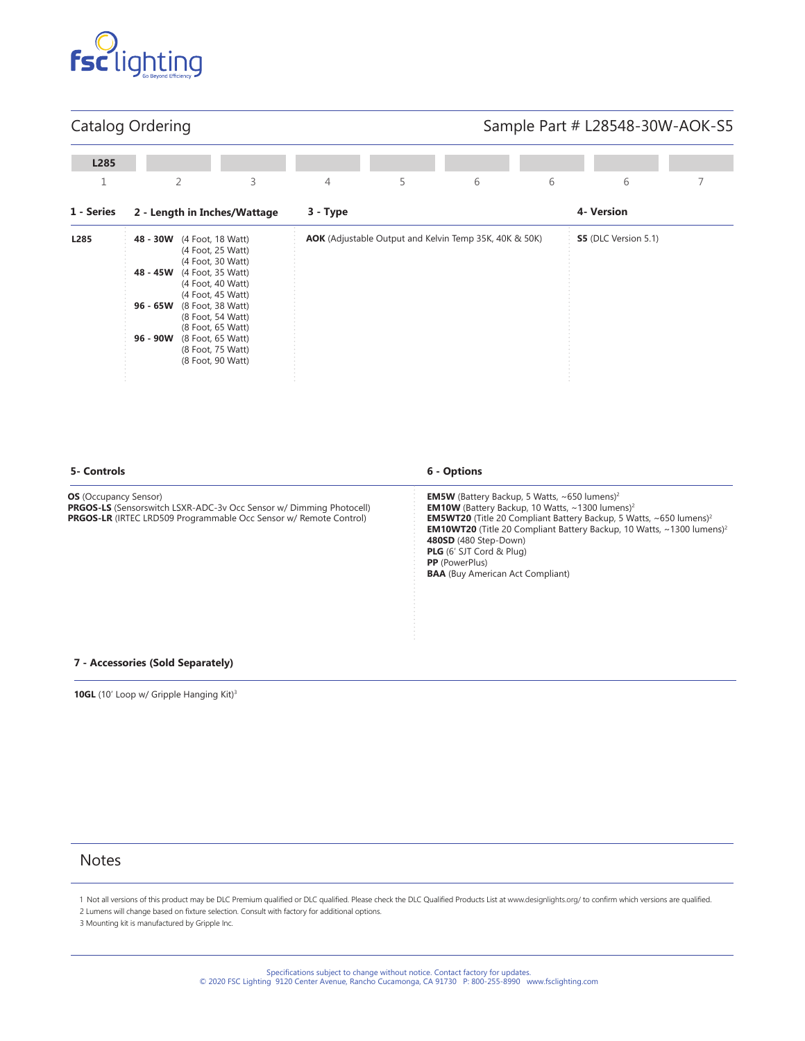

# Catalog Ordering

# Sample Part # L28548-30W-AOK-S5

| L285       |                                              |                                                                                                                                                                                                                                                          |                              |                |   |                                                        |   |                             |  |
|------------|----------------------------------------------|----------------------------------------------------------------------------------------------------------------------------------------------------------------------------------------------------------------------------------------------------------|------------------------------|----------------|---|--------------------------------------------------------|---|-----------------------------|--|
| 1          |                                              | $\overline{2}$                                                                                                                                                                                                                                           | 3                            | $\overline{4}$ | 5 | 6                                                      | 6 | 6                           |  |
| 1 - Series |                                              |                                                                                                                                                                                                                                                          | 2 - Length in Inches/Wattage | 3 - Type       |   |                                                        |   | 4- Version                  |  |
| L285       | 48 - 30W<br>48 - 45W<br>96 - 65W<br>96 - 90W | (4 Foot, 18 Watt)<br>(4 Foot, 25 Watt)<br>(4 Foot, 30 Watt)<br>(4 Foot, 35 Watt)<br>(4 Foot, 40 Watt)<br>(4 Foot, 45 Watt)<br>(8 Foot, 38 Watt)<br>(8 Foot, 54 Watt)<br>(8 Foot, 65 Watt)<br>(8 Foot, 65 Watt)<br>(8 Foot, 75 Watt)<br>(8 Foot, 90 Watt) |                              |                |   | AOK (Adjustable Output and Kelvin Temp 35K, 40K & 50K) |   | <b>S5</b> (DLC Version 5.1) |  |

#### **5- Controls 6 - Options**

**OS** (Occupancy Sensor)

**EM5W** (Battery Backup, 5 Watts, ~650 lumens)<sup>2</sup> **EM10W** (Battery Backup, 10 Watts,  $\sim$  1300 lumens)<sup>2</sup> **EM5WT20** (Title 20 Compliant Battery Backup, 5 Watts, ~650 lumens)<sup>2</sup> **EM10WT20** (Title 20 Compliant Battery Backup, 10 Watts, ~1300 lumens)<sup>2</sup> **480SD** (480 Step-Down) **PLG** (6' SJT Cord & Plug) **PP** (PowerPlus) **BAA** (Buy American Act Compliant)

#### **7 - Accessories (Sold Separately)**

**PRGOS-LS** (Sensorswitch LSXR-ADC-3v Occ Sensor w/ Dimming Photocell) **PRGOS-LR** (IRTEC LRD509 Programmable Occ Sensor w/ Remote Control)

10GL (10' Loop w/ Gripple Hanging Kit)<sup>3</sup>

# **Notes**

1 Not all versions of this product may be DLC Premium qualified or DLC qualified. Please check the DLC Qualified Products List at www.designlights.org/ to confirm which versions are qualified. 2 Lumens will change based on fixture selection. Consult with factory for additional options.

3 Mounting kit is manufactured by Gripple Inc.